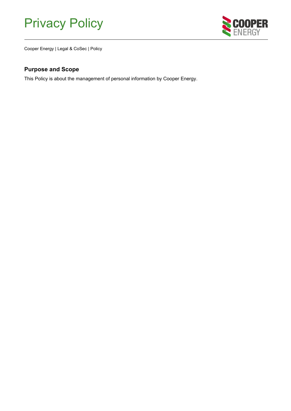# Privacy Policy



Cooper Energy | Legal & CoSec | Policy

### <span id="page-0-0"></span>**Purpose and Scope**

This Policy is about the management of personal information by Cooper Energy.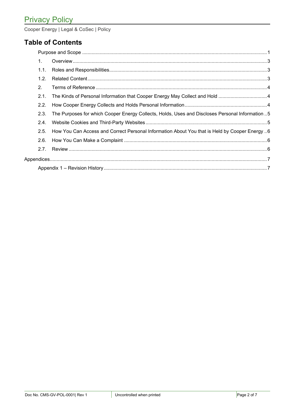### **Table of Contents**

| $\mathbf{1}$   |                                                                                                 |  |  |
|----------------|-------------------------------------------------------------------------------------------------|--|--|
| 1.1.           |                                                                                                 |  |  |
| 1.2.           |                                                                                                 |  |  |
| 2 <sub>1</sub> |                                                                                                 |  |  |
| 2.1.           |                                                                                                 |  |  |
| 2.2.           |                                                                                                 |  |  |
| 2.3.           | The Purposes for which Cooper Energy Collects, Holds, Uses and Discloses Personal Information 5 |  |  |
| 2.4.           |                                                                                                 |  |  |
| 2.5.           | How You Can Access and Correct Personal Information About You that is Held by Cooper Energy 6   |  |  |
| 2.6.           |                                                                                                 |  |  |
| 2.7.           |                                                                                                 |  |  |
|                |                                                                                                 |  |  |
|                |                                                                                                 |  |  |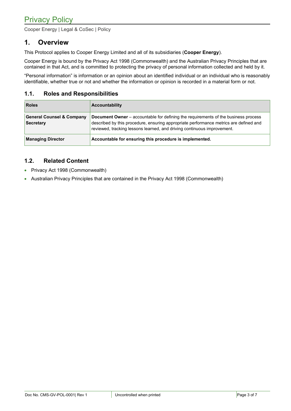### <span id="page-2-0"></span>**1. Overview**

This Protocol applies to Cooper Energy Limited and all of its subsidiaries (**Cooper Energy**).

Cooper Energy is bound by the Privacy Act 1998 (Commonwealth) and the Australian Privacy Principles that are contained in that Act, and is committed to protecting the privacy of personal information collected and held by it.

"Personal information" is information or an opinion about an identified individual or an individual who is reasonably identifiable, whether true or not and whether the information or opinion is recorded in a material form or not.

### <span id="page-2-1"></span>**1.1. Roles and Responsibilities**

| <b>Roles</b>                                             | <b>Accountability</b>                                                                                                                                                                                                                                         |
|----------------------------------------------------------|---------------------------------------------------------------------------------------------------------------------------------------------------------------------------------------------------------------------------------------------------------------|
| <b>General Counsel &amp; Company</b><br><b>Secretary</b> | <b>Document Owner</b> – accountable for defining the requirements of the business process<br>described by this procedure, ensuring appropriate performance metrics are defined and<br>reviewed, tracking lessons learned, and driving continuous improvement. |
| <b>Managing Director</b>                                 | Accountable for ensuring this procedure is implemented.                                                                                                                                                                                                       |

### <span id="page-2-2"></span>**1.2. Related Content**

- Privacy Act 1998 (Commonwealth)
- Australian Privacy Principles that are contained in the Privacy Act 1998 (Commonwealth)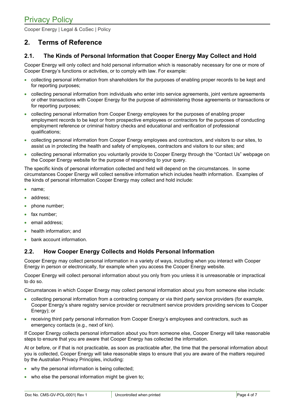### <span id="page-3-0"></span>**2. Terms of Reference**

### <span id="page-3-1"></span>**2.1. The Kinds of Personal Information that Cooper Energy May Collect and Hold**

Cooper Energy will only collect and hold personal information which is reasonably necessary for one or more of Cooper Energy's functions or activities, or to comply with law. For example:

- collecting personal information from shareholders for the purposes of enabling proper records to be kept and for reporting purposes;
- collecting personal information from individuals who enter into service agreements, joint venture agreements or other transactions with Cooper Energy for the purpose of administering those agreements or transactions or for reporting purposes;
- collecting personal information from Cooper Energy employees for the purposes of enabling proper employment records to be kept or from prospective employees or contractors for the purposes of conducting employment reference or criminal history checks and educational and verification of professional qualifications;
- collecting personal information from Cooper Energy employees and contractors, and visitors to our sites, to assist us in protecting the health and safety of employees, contractors and visitors to our sites; and
- collecting personal information you voluntarily provide to Cooper Energy through the "Contact Us" webpage on the Cooper Energy website for the purpose of responding to your query.

The specific kinds of personal information collected and held will depend on the circumstances. In some circumstances Cooper Energy will collect sensitive information which includes health information. Examples of the kinds of personal information Cooper Energy may collect and hold include:

- name;
- address;
- phone number;
- fax number;
- email address:
- health information; and
- bank account information.

### <span id="page-3-2"></span>**2.2. How Cooper Energy Collects and Holds Personal Information**

Cooper Energy may collect personal information in a variety of ways, including when you interact with Cooper Energy in person or electronically, for example when you access the Cooper Energy website.

Cooper Energy will collect personal information about you only from you unless it is unreasonable or impractical to do so.

Circumstances in which Cooper Energy may collect personal information about you from someone else include:

- collecting personal information from a contracting company or via third party service providers (for example, Cooper Energy's share registry service provider or recruitment service providers providing services to Cooper Energy); or
- receiving third party personal information from Cooper Energy's employees and contractors, such as emergency contacts (e.g., next of kin).

If Cooper Energy collects personal information about you from someone else, Cooper Energy will take reasonable steps to ensure that you are aware that Cooper Energy has collected the information.

At or before, or if that is not practicable, as soon as practicable after, the time that the personal information about you is collected, Cooper Energy will take reasonable steps to ensure that you are aware of the matters required by the Australian Privacy Principles, including:

- why the personal information is being collected;
- who else the personal information might be given to;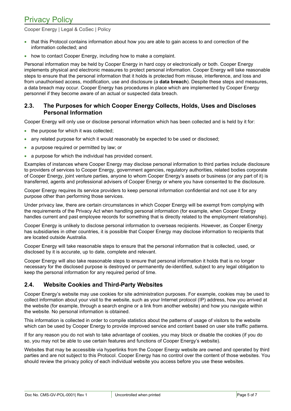## Privacy Policy

Cooper Energy | Legal & CoSec | Policy

- that this Protocol contains information about how you are able to gain access to and correction of the information collected; and
- how to contact Cooper Energy, including how to make a complaint.

Personal information may be held by Cooper Energy in hard copy or electronically or both. Cooper Energy implements physical and electronic measures to protect personal information. Cooper Energy will take reasonable steps to ensure that the personal information that it holds is protected from misuse, interference, and loss and from unauthorised access, modification, use and disclosure (a **data breach**). Despite these steps and measures, a data breach may occur. Cooper Energy has procedures in place which are implemented by Cooper Energy personnel if they become aware of an actual or suspected data breach.

#### <span id="page-4-0"></span>**2.3. The Purposes for which Cooper Energy Collects, Holds, Uses and Discloses Personal Information**

Cooper Energy will only use or disclose personal information which has been collected and is held by it for:

- the purpose for which it was collected;
- any related purpose for which it would reasonably be expected to be used or disclosed;
- a purpose required or permitted by law; or
- a purpose for which the individual has provided consent.

Examples of instances where Cooper Energy may disclose personal information to third parties include disclosure to providers of services to Cooper Energy, government agencies, regulatory authorities, related bodies corporate of Cooper Energy, joint venture parties, anyone to whom Cooper Energy's assets or business (or any part of it) is transferred, agents and professional advisers of Cooper Energy or where you have consented to the disclosure.

Cooper Energy requires its service providers to keep personal information confidential and not use it for any purpose other than performing those services.

Under privacy law, there are certain circumstances in which Cooper Energy will be exempt from complying with the requirements of the Privacy Act when handling personal information (for example, when Cooper Energy handles current and past employee records for something that is directly related to the employment relationship).

Cooper Energy is unlikely to disclose personal information to overseas recipients. However, as Cooper Energy has subsidiaries in other countries, it is possible that Cooper Energy may disclose information to recipients that are located outside Australia.

Cooper Energy will take reasonable steps to ensure that the personal information that is collected, used, or disclosed by it is accurate, up to date, complete and relevant.

Cooper Energy will also take reasonable steps to ensure that personal information it holds that is no longer necessary for the disclosed purpose is destroyed or permanently de-identified, subject to any legal obligation to keep the personal information for any required period of time.

#### <span id="page-4-1"></span>**2.4. Website Cookies and Third-Party Websites**

Cooper Energy's website may use cookies for site administration purposes. For example, cookies may be used to collect information about your visit to the website, such as your Internet protocol (IP) address, how you arrived at the website (for example, through a search engine or a link from another website) and how you navigate within the website. No personal information is obtained.

This information is collected in order to compile statistics about the patterns of usage of visitors to the website which can be used by Cooper Energy to provide improved service and content based on user site traffic patterns.

If for any reason you do not wish to take advantage of cookies, you may block or disable the cookies (if you do so, you may not be able to use certain features and functions of Cooper Energy's website).

Websites that may be accessible via hyperlinks from the Cooper Energy website are owned and operated by third parties and are not subject to this Protocol. Cooper Energy has no control over the content of those websites. You should review the privacy policy of each individual website you access before you use these websites.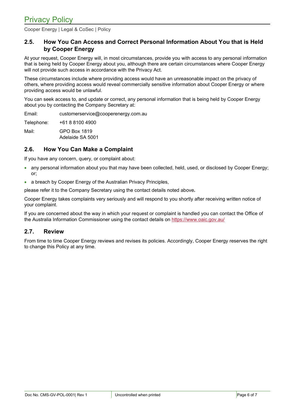### <span id="page-5-0"></span>**2.5. How You Can Access and Correct Personal Information About You that is Held by Cooper Energy**

At your request, Cooper Energy will, in most circumstances, provide you with access to any personal information that is being held by Cooper Energy about you, although there are certain circumstances where Cooper Energy will not provide such access in accordance with the Privacy Act.

These circumstances include where providing access would have an unreasonable impact on the privacy of others, where providing access would reveal commercially sensitive information about Cooper Energy or where providing access would be unlawful.

You can seek access to, and update or correct, any personal information that is being held by Cooper Energy about you by contacting the Company Secretary at:

Email: [customerservice@cooperenergy.com.au](mailto:customerservice@cooperenergy.com.au)

Telephone: +61 8 8100 4900

Mail: GPO Box 1819 Adelaide SA 5001

### <span id="page-5-1"></span>**2.6. How You Can Make a Complaint**

If you have any concern, query, or complaint about:

- any personal information about you that may have been collected, held, used, or disclosed by Cooper Energy; or;
- a breach by Cooper Energy of the Australian Privacy Principles,

please refer it to the Company Secretary using the contact details noted above**.**

Cooper Energy takes complaints very seriously and will respond to you shortly after receiving written notice of your complaint.

If you are concerned about the way in which your request or complaint is handled you can contact the Office of the Australia Information Commissioner using the contact details on<https://www.oaic.gov.au/>

#### <span id="page-5-2"></span>**2.7. Review**

From time to time Cooper Energy reviews and revises its policies. Accordingly, Cooper Energy reserves the right to change this Policy at any time.